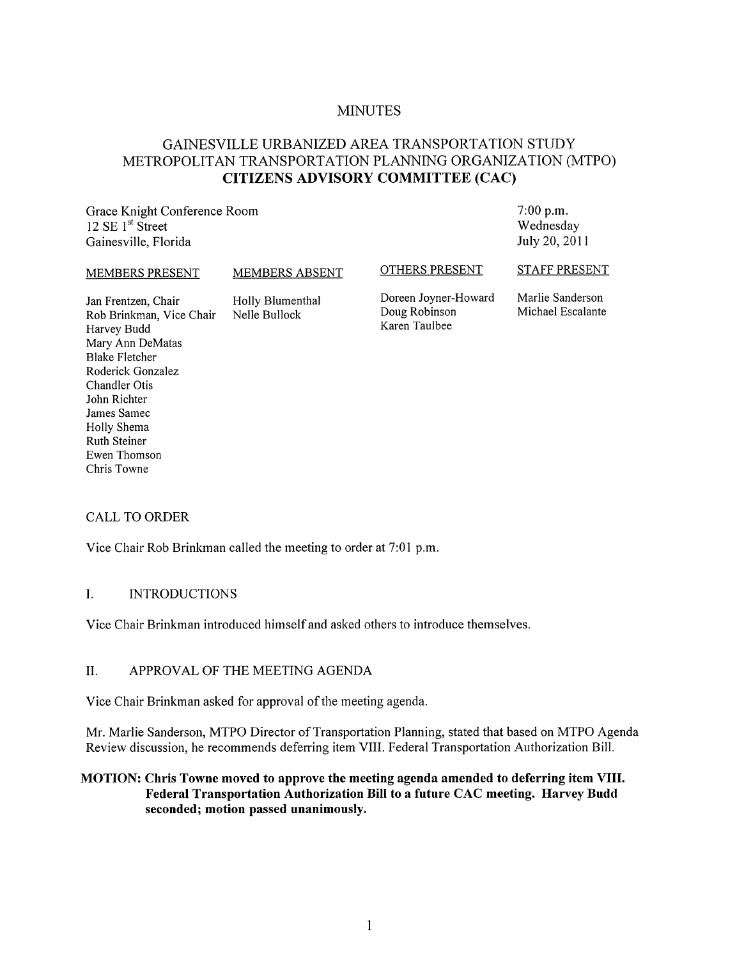# MINUTES

# GAINESVILLE URBANIZED AREA TRANSPORTATION STUDY METROPOLITAN TRANSPORTATION PLANNING ORGANIZATION (MTPO) **CITIZENS ADVISORY COMMITTEE (CAC)**

Grace Knight Conference Room 12 SE 1<sup>st</sup> Street Gainesville, Florida

7:00 p.m. Wednesday July 20, 2011

#### MEMBERS PRESENT

MEMBERS ABSENT

OTHERS PRESENT

Jan Frentzen, Chair Rob Brinkman, Vice Chair Harvey Budd Mary Ann DeMatas Blake Fletcher Roderick Gonzalez Chandler Otis John Richter James Samec Holly Shema Ruth Steiner Ewen Thomson Chris Towne Holly Blumenthal Nelle Bullock

Doreen Joyner-Howard Doug Robinson Karen Taulbee

STAFF PRESENT

Marlie Sanderson Michael Escalante

# CALL TO ORDER

Vice Chair Rob Brinkman called the meeting to order at 7:01 p.m.

# I. INTRODUCTIONS

Vice Chair Brinkman introduced himself and asked others to introduce themselves.

#### II. APPROVAL OF THE MEETING AGENDA

Vice Chair Brinkman asked for approval of the meeting agenda.

Mr. Marlie Sanderson, MTPO Director of Transportation Planning, stated that based on MTPO Agenda Review discussion, he recommends deferring item VIII. Federal Transportation Authorization Bill.

# **MOTION: Chris Towne moved to approve the meeting agenda amended to deferring item VIII. Federal Transportation Authorization Bill to a future CAC meeting. Harvey Budd seconded; motion passed unanimously.**